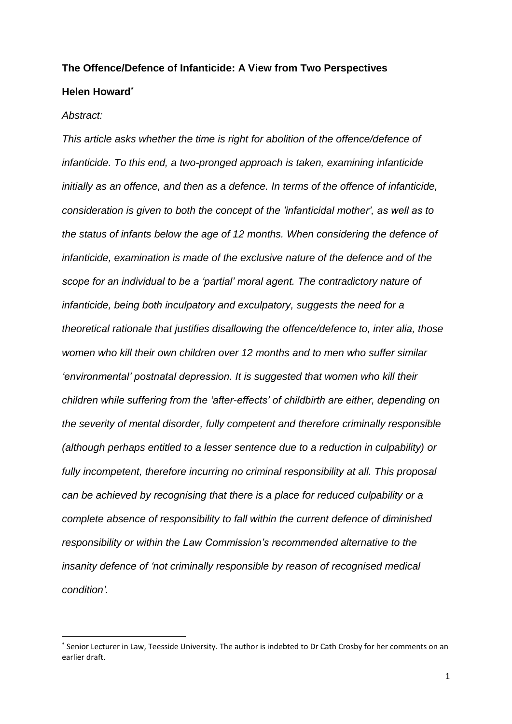# **The Offence/Defence of Infanticide: A View from Two Perspectives Helen Howard\***

#### *Abstract:*

 $\overline{\phantom{a}}$ 

*This article asks whether the time is right for abolition of the offence/defence of infanticide. To this end, a two-pronged approach is taken, examining infanticide initially as an offence, and then as a defence. In terms of the offence of infanticide, consideration is given to both the concept of the 'infanticidal mother', as well as to the status of infants below the age of 12 months. When considering the defence of infanticide, examination is made of the exclusive nature of the defence and of the scope for an individual to be a 'partial' moral agent. The contradictory nature of infanticide, being both inculpatory and exculpatory, suggests the need for a theoretical rationale that justifies disallowing the offence/defence to, inter alia, those women who kill their own children over 12 months and to men who suffer similar 'environmental' postnatal depression. It is suggested that women who kill their children while suffering from the 'after-effects' of childbirth are either, depending on the severity of mental disorder, fully competent and therefore criminally responsible (although perhaps entitled to a lesser sentence due to a reduction in culpability) or fully incompetent, therefore incurring no criminal responsibility at all. This proposal can be achieved by recognising that there is a place for reduced culpability or a complete absence of responsibility to fall within the current defence of diminished responsibility or within the Law Commission's recommended alternative to the insanity defence of 'not criminally responsible by reason of recognised medical condition'.*

<sup>\*</sup> Senior Lecturer in Law, Teesside University. The author is indebted to Dr Cath Crosby for her comments on an earlier draft.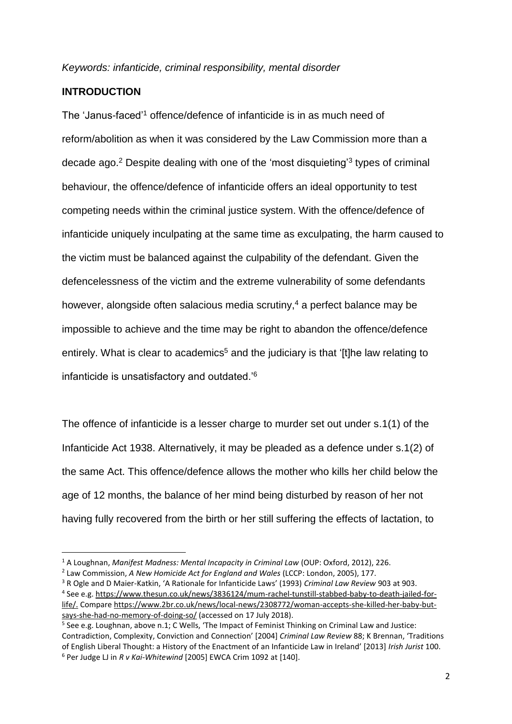## **INTRODUCTION**

1

The 'Janus-faced'<sup>1</sup> offence/defence of infanticide is in as much need of reform/abolition as when it was considered by the Law Commission more than a decade ago.<sup>2</sup> Despite dealing with one of the 'most disquieting'<sup>3</sup> types of criminal behaviour, the offence/defence of infanticide offers an ideal opportunity to test competing needs within the criminal justice system. With the offence/defence of infanticide uniquely inculpating at the same time as exculpating, the harm caused to the victim must be balanced against the culpability of the defendant. Given the defencelessness of the victim and the extreme vulnerability of some defendants however, alongside often salacious media scrutiny, $4$  a perfect balance may be impossible to achieve and the time may be right to abandon the offence/defence entirely. What is clear to academics<sup>5</sup> and the judiciary is that '[t]he law relating to infanticide is unsatisfactory and outdated.'<sup>6</sup>

The offence of infanticide is a lesser charge to murder set out under s.1(1) of the Infanticide Act 1938. Alternatively, it may be pleaded as a defence under s.1(2) of the same Act. This offence/defence allows the mother who kills her child below the age of 12 months, the balance of her mind being disturbed by reason of her not having fully recovered from the birth or her still suffering the effects of lactation, to

<sup>1</sup> A Loughnan, *Manifest Madness: Mental Incapacity in Criminal Law* (OUP: Oxford, 2012), 226.

<sup>2</sup> Law Commission, *A New Homicide Act for England and Wales* (LCCP: London, 2005), 177.

<sup>3</sup> R Ogle and D Maier-Katkin, 'A Rationale for Infanticide Laws' (1993) *Criminal Law Review* 903 at 903. 4 See e.g. [https://www.thesun.co.uk/news/3836124/mum-rachel-tunstill-stabbed-baby-to-death-jailed-for](https://www.thesun.co.uk/news/3836124/mum-rachel-tunstill-stabbed-baby-to-death-jailed-for-life/)[life/.](https://www.thesun.co.uk/news/3836124/mum-rachel-tunstill-stabbed-baby-to-death-jailed-for-life/) Compar[e https://www.2br.co.uk/news/local-news/2308772/woman-accepts-she-killed-her-baby-but](https://www.2br.co.uk/news/local-news/2308772/woman-accepts-she-killed-her-baby-but-says-she-had-no-memory-of-doing-so/)[says-she-had-no-memory-of-doing-so/](https://www.2br.co.uk/news/local-news/2308772/woman-accepts-she-killed-her-baby-but-says-she-had-no-memory-of-doing-so/) (accessed on 17 July 2018).

<sup>&</sup>lt;sup>5</sup> See e.g. Loughnan, above n.1; C Wells, 'The Impact of Feminist Thinking on Criminal Law and Justice: Contradiction, Complexity, Conviction and Connection' [2004] *Criminal Law Review* 88; K Brennan, 'Traditions of English Liberal Thought: a History of the Enactment of an Infanticide Law in Ireland' [2013] *Irish Jurist* 100. <sup>6</sup> Per Judge LJ in *R v Kai-Whitewind* [2005] EWCA Crim 1092 at [140].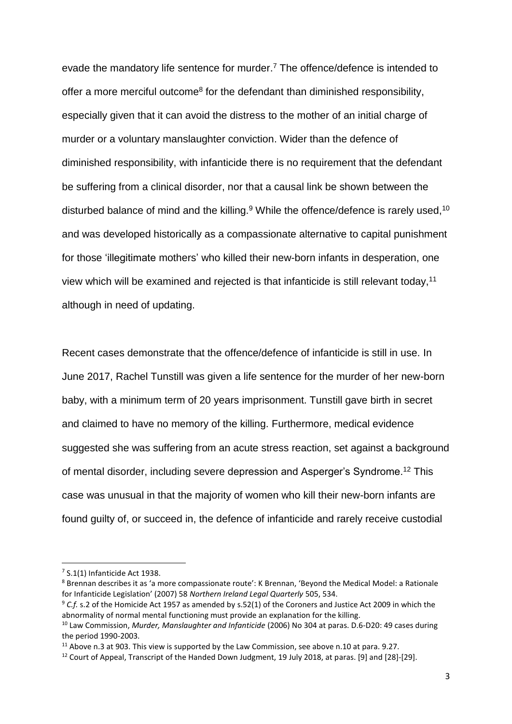evade the mandatory life sentence for murder. <sup>7</sup> The offence/defence is intended to offer a more merciful outcome<sup>8</sup> for the defendant than diminished responsibility, especially given that it can avoid the distress to the mother of an initial charge of murder or a voluntary manslaughter conviction. Wider than the defence of diminished responsibility, with infanticide there is no requirement that the defendant be suffering from a clinical disorder, nor that a causal link be shown between the disturbed balance of mind and the killing.<sup>9</sup> While the offence/defence is rarely used,<sup>10</sup> and was developed historically as a compassionate alternative to capital punishment for those 'illegitimate mothers' who killed their new-born infants in desperation, one view which will be examined and rejected is that infanticide is still relevant today,<sup>11</sup> although in need of updating.

Recent cases demonstrate that the offence/defence of infanticide is still in use. In June 2017, Rachel Tunstill was given a life sentence for the murder of her new-born baby, with a minimum term of 20 years imprisonment. Tunstill gave birth in secret and claimed to have no memory of the killing. Furthermore, medical evidence suggested she was suffering from an acute stress reaction, set against a background of mental disorder, including severe depression and Asperger's Syndrome.<sup>12</sup> This case was unusual in that the majority of women who kill their new-born infants are found guilty of, or succeed in, the defence of infanticide and rarely receive custodial

 $7$  S.1(1) Infanticide Act 1938.

<sup>8</sup> Brennan describes it as 'a more compassionate route': K Brennan, 'Beyond the Medical Model: a Rationale for Infanticide Legislation' (2007) 58 *Northern Ireland Legal Quarterly* 505, 534.

<sup>&</sup>lt;sup>9</sup> C.f. s.2 of the Homicide Act 1957 as amended by s.52(1) of the Coroners and Justice Act 2009 in which the abnormality of normal mental functioning must provide an explanation for the killing.

<sup>10</sup> Law Commission, *Murder, Manslaughter and Infanticide* (2006) No 304 at paras. D.6-D20: 49 cases during the period 1990-2003.

 $11$  Above n.3 at 903. This view is supported by the Law Commission, see above n.10 at para. 9.27.

<sup>&</sup>lt;sup>12</sup> Court of Appeal, Transcript of the Handed Down Judgment, 19 July 2018, at paras. [9] and [28]-[29].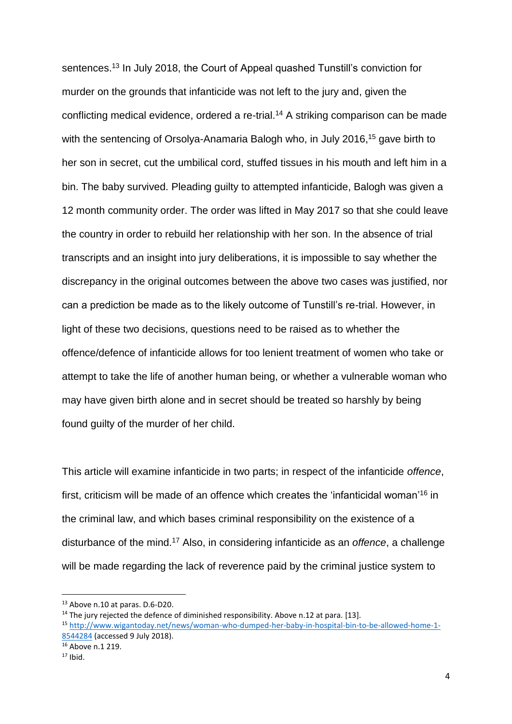sentences. <sup>13</sup> In July 2018, the Court of Appeal quashed Tunstill's conviction for murder on the grounds that infanticide was not left to the jury and, given the conflicting medical evidence, ordered a re-trial.<sup>14</sup> A striking comparison can be made with the sentencing of Orsolva-Anamaria Balogh who, in July 2016.<sup>15</sup> gave birth to her son in secret, cut the umbilical cord, stuffed tissues in his mouth and left him in a bin. The baby survived. Pleading guilty to attempted infanticide, Balogh was given a 12 month community order. The order was lifted in May 2017 so that she could leave the country in order to rebuild her relationship with her son. In the absence of trial transcripts and an insight into jury deliberations, it is impossible to say whether the discrepancy in the original outcomes between the above two cases was justified, nor can a prediction be made as to the likely outcome of Tunstill's re-trial. However, in light of these two decisions, questions need to be raised as to whether the offence/defence of infanticide allows for too lenient treatment of women who take or attempt to take the life of another human being, or whether a vulnerable woman who may have given birth alone and in secret should be treated so harshly by being found guilty of the murder of her child.

This article will examine infanticide in two parts; in respect of the infanticide *offence*, first, criticism will be made of an offence which creates the 'infanticidal woman'<sup>16</sup> in the criminal law, and which bases criminal responsibility on the existence of a disturbance of the mind.<sup>17</sup> Also, in considering infanticide as an *offence*, a challenge will be made regarding the lack of reverence paid by the criminal justice system to

<sup>13</sup> Above n.10 at paras. D.6-D20.

 $14$  The jury rejected the defence of diminished responsibility. Above n.12 at para. [13].

<sup>15</sup> [http://www.wigantoday.net/news/woman-who-dumped-her-baby-in-hospital-bin-to-be-allowed-home-1-](http://www.wigantoday.net/news/woman-who-dumped-her-baby-in-hospital-bin-to-be-allowed-home-1-8544284) [8544284](http://www.wigantoday.net/news/woman-who-dumped-her-baby-in-hospital-bin-to-be-allowed-home-1-8544284) (accessed 9 July 2018).

<sup>16</sup> Above n.1 219.

 $17$  Ibid.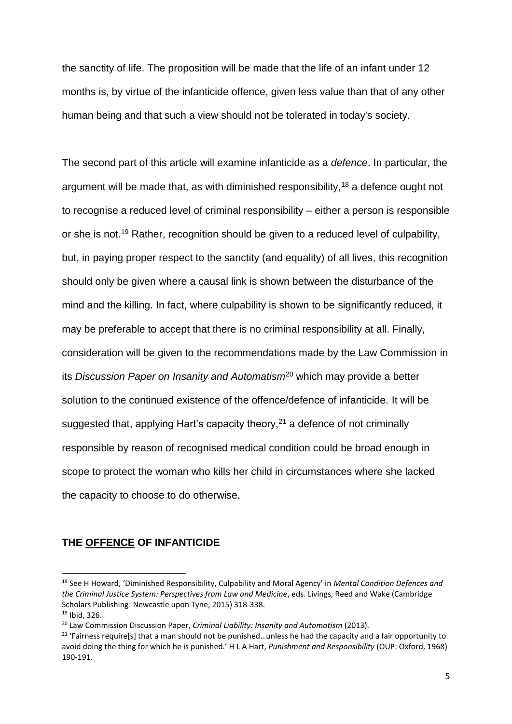the sanctity of life. The proposition will be made that the life of an infant under 12 months is, by virtue of the infanticide offence, given less value than that of any other human being and that such a view should not be tolerated in today's society.

The second part of this article will examine infanticide as a *defence*. In particular, the argument will be made that, as with diminished responsibility,  $18$  a defence ought not to recognise a reduced level of criminal responsibility – either a person is responsible or she is not.<sup>19</sup> Rather, recognition should be given to a reduced level of culpability, but, in paying proper respect to the sanctity (and equality) of all lives, this recognition should only be given where a causal link is shown between the disturbance of the mind and the killing. In fact, where culpability is shown to be significantly reduced, it may be preferable to accept that there is no criminal responsibility at all. Finally, consideration will be given to the recommendations made by the Law Commission in its *Discussion Paper on Insanity and Automatism*<sup>20</sup> which may provide a better solution to the continued existence of the offence/defence of infanticide. It will be suggested that, applying Hart's capacity theory, $21$  a defence of not criminally responsible by reason of recognised medical condition could be broad enough in scope to protect the woman who kills her child in circumstances where she lacked the capacity to choose to do otherwise.

# **THE OFFENCE OF INFANTICIDE**

<sup>18</sup> See H Howard, 'Diminished Responsibility, Culpability and Moral Agency' in *Mental Condition Defences and the Criminal Justice System: Perspectives from Law and Medicine*, eds. Livings, Reed and Wake (Cambridge Scholars Publishing: Newcastle upon Tyne, 2015) 318-338.

<sup>19</sup> Ibid, 326.

<sup>20</sup> Law Commission Discussion Paper, *Criminal Liability: Insanity and Automatism* (2013).

<sup>&</sup>lt;sup>21</sup> 'Fairness require[s] that a man should not be punished...unless he had the capacity and a fair opportunity to avoid doing the thing for which he is punished.' H L A Hart, *Punishment and Responsibility* (OUP: Oxford, 1968) 190-191.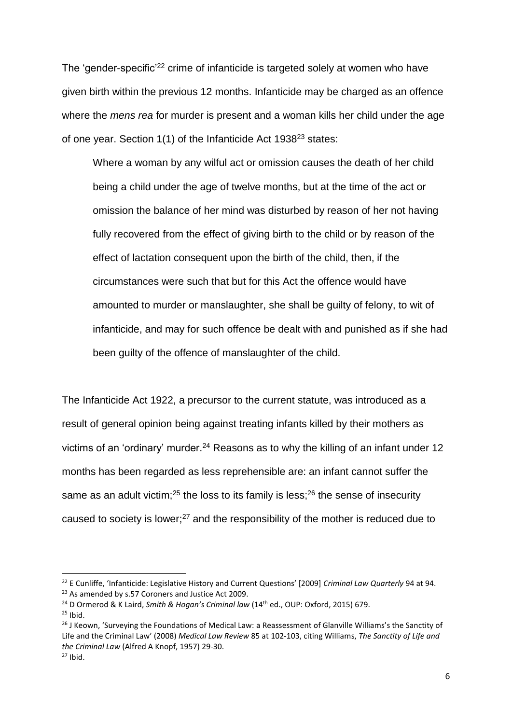The 'gender-specific'<sup>22</sup> crime of infanticide is targeted solely at women who have given birth within the previous 12 months. Infanticide may be charged as an offence where the *mens rea* for murder is present and a woman kills her child under the age of one year. Section 1(1) of the Infanticide Act 1938<sup>23</sup> states:

Where a woman by any wilful act or omission causes the death of her child being a child under the age of twelve months, but at the time of the act or omission the balance of her mind was disturbed by reason of her not having fully recovered from the effect of giving birth to the child or by reason of the effect of lactation consequent upon the birth of the child, then, if the circumstances were such that but for this Act the offence would have amounted to murder or manslaughter, she shall be guilty of felony, to wit of infanticide, and may for such offence be dealt with and punished as if she had been guilty of the offence of manslaughter of the child.

The Infanticide Act 1922, a precursor to the current statute, was introduced as a result of general opinion being against treating infants killed by their mothers as victims of an 'ordinary' murder. $24$  Reasons as to why the killing of an infant under 12 months has been regarded as less reprehensible are: an infant cannot suffer the same as an adult victim;<sup>25</sup> the loss to its family is less;<sup>26</sup> the sense of insecurity caused to society is lower;<sup>27</sup> and the responsibility of the mother is reduced due to

<sup>22</sup> E Cunliffe, 'Infanticide: Legislative History and Current Questions' [2009] *Criminal Law Quarterly* 94 at 94. <sup>23</sup> As amended by s.57 Coroners and Justice Act 2009.

<sup>&</sup>lt;sup>24</sup> D Ormerod & K Laird, *Smith & Hogan's Criminal law* (14<sup>th</sup> ed., OUP: Oxford, 2015) 679.

 $25$  Ibid.

<sup>&</sup>lt;sup>26</sup> J Keown, 'Surveying the Foundations of Medical Law: a Reassessment of Glanville Williams's the Sanctity of Life and the Criminal Law' (2008) *Medical Law Review* 85 at 102-103, citing Williams, *The Sanctity of Life and the Criminal Law* (Alfred A Knopf, 1957) 29-30.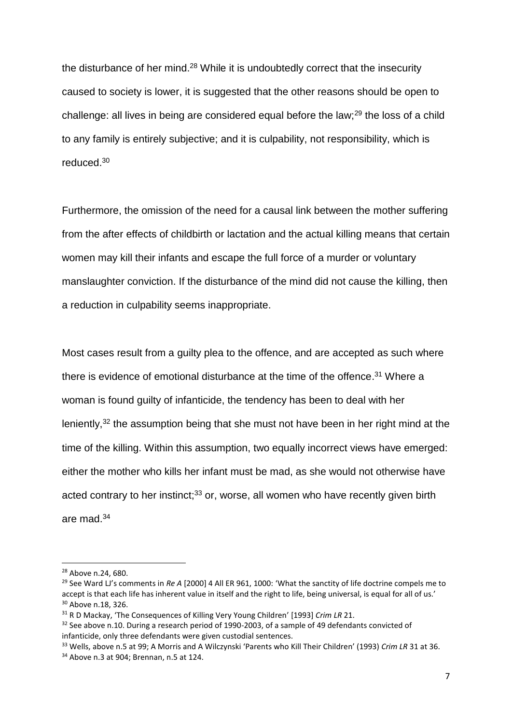the disturbance of her mind.<sup>28</sup> While it is undoubtedly correct that the insecurity caused to society is lower, it is suggested that the other reasons should be open to challenge: all lives in being are considered equal before the law;<sup>29</sup> the loss of a child to any family is entirely subjective; and it is culpability, not responsibility, which is reduced.<sup>30</sup>

Furthermore, the omission of the need for a causal link between the mother suffering from the after effects of childbirth or lactation and the actual killing means that certain women may kill their infants and escape the full force of a murder or voluntary manslaughter conviction. If the disturbance of the mind did not cause the killing, then a reduction in culpability seems inappropriate.

Most cases result from a guilty plea to the offence, and are accepted as such where there is evidence of emotional disturbance at the time of the offence.<sup>31</sup> Where a woman is found guilty of infanticide, the tendency has been to deal with her leniently,<sup>32</sup> the assumption being that she must not have been in her right mind at the time of the killing. Within this assumption, two equally incorrect views have emerged: either the mother who kills her infant must be mad, as she would not otherwise have acted contrary to her instinct; $33$  or, worse, all women who have recently given birth are mad.<sup>34</sup>

<sup>28</sup> Above n.24, 680.

<sup>&</sup>lt;sup>29</sup> See Ward LJ's comments in Re A [2000] 4 All ER 961, 1000: 'What the sanctity of life doctrine compels me to accept is that each life has inherent value in itself and the right to life, being universal, is equal for all of us.' <sup>30</sup> Above n.18, 326.

<sup>31</sup> R D Mackay, 'The Consequences of Killing Very Young Children' [1993] *Crim LR* 21.

<sup>&</sup>lt;sup>32</sup> See above n.10. During a research period of 1990-2003, of a sample of 49 defendants convicted of infanticide, only three defendants were given custodial sentences.

<sup>33</sup> Wells, above n.5 at 99; A Morris and A Wilczynski 'Parents who Kill Their Children' (1993) *Crim LR* 31 at 36.

<sup>34</sup> Above n.3 at 904; Brennan, n.5 at 124.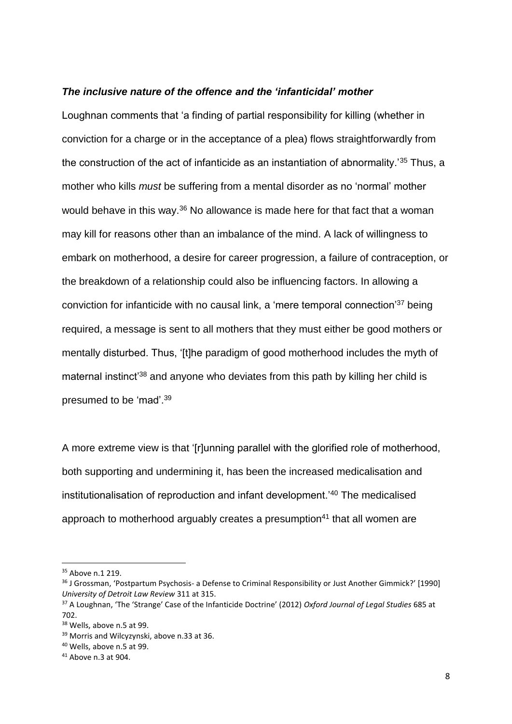#### *The inclusive nature of the offence and the 'infanticidal' mother*

Loughnan comments that 'a finding of partial responsibility for killing (whether in conviction for a charge or in the acceptance of a plea) flows straightforwardly from the construction of the act of infanticide as an instantiation of abnormality.'<sup>35</sup> Thus, a mother who kills *must* be suffering from a mental disorder as no 'normal' mother would behave in this way.<sup>36</sup> No allowance is made here for that fact that a woman may kill for reasons other than an imbalance of the mind. A lack of willingness to embark on motherhood, a desire for career progression, a failure of contraception, or the breakdown of a relationship could also be influencing factors. In allowing a conviction for infanticide with no causal link, a 'mere temporal connection'<sup>37</sup> being required, a message is sent to all mothers that they must either be good mothers or mentally disturbed. Thus, '[t]he paradigm of good motherhood includes the myth of maternal instinct<sup>'38</sup> and anyone who deviates from this path by killing her child is presumed to be 'mad'.<sup>39</sup>

A more extreme view is that '[r]unning parallel with the glorified role of motherhood, both supporting and undermining it, has been the increased medicalisation and institutionalisation of reproduction and infant development.'<sup>40</sup> The medicalised approach to motherhood arguably creates a presumption $41$  that all women are

<sup>35</sup> Above n.1 219.

<sup>&</sup>lt;sup>36</sup> J Grossman, 'Postpartum Psychosis- a Defense to Criminal Responsibility or Just Another Gimmick?' [1990] *University of Detroit Law Review* 311 at 315.

<sup>37</sup> A Loughnan, 'The 'Strange' Case of the Infanticide Doctrine' (2012) *Oxford Journal of Legal Studies* 685 at 702.

<sup>&</sup>lt;sup>38</sup> Wells, above n.5 at 99.

<sup>39</sup> Morris and Wilcyzynski, above n.33 at 36.

<sup>40</sup> Wells, above n.5 at 99.

<sup>41</sup> Above n.3 at 904.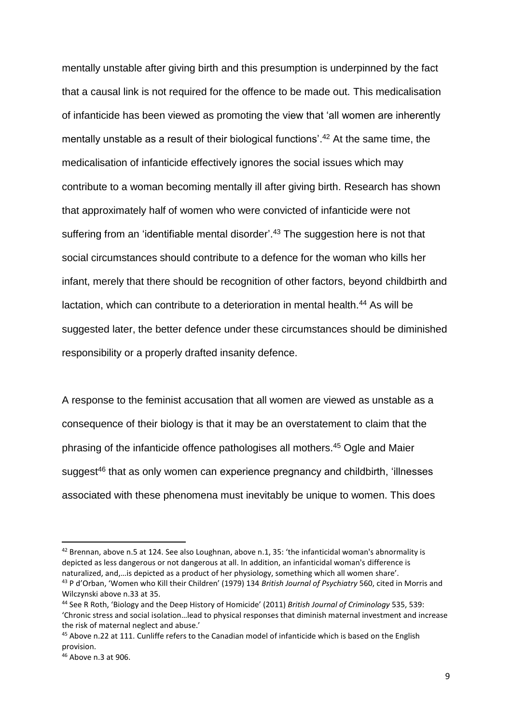mentally unstable after giving birth and this presumption is underpinned by the fact that a causal link is not required for the offence to be made out. This medicalisation of infanticide has been viewed as promoting the view that 'all women are inherently mentally unstable as a result of their biological functions'.<sup>42</sup> At the same time, the medicalisation of infanticide effectively ignores the social issues which may contribute to a woman becoming mentally ill after giving birth. Research has shown that approximately half of women who were convicted of infanticide were not suffering from an 'identifiable mental disorder'.<sup>43</sup> The suggestion here is not that social circumstances should contribute to a defence for the woman who kills her infant, merely that there should be recognition of other factors, beyond childbirth and lactation, which can contribute to a deterioration in mental health.<sup>44</sup> As will be suggested later, the better defence under these circumstances should be diminished responsibility or a properly drafted insanity defence.

A response to the feminist accusation that all women are viewed as unstable as a consequence of their biology is that it may be an overstatement to claim that the phrasing of the infanticide offence pathologises all mothers.<sup>45</sup> Ogle and Maier suggest<sup>46</sup> that as only women can experience pregnancy and childbirth, 'illnesses associated with these phenomena must inevitably be unique to women. This does

 $42$  Brennan, above n.5 at 124. See also Loughnan, above n.1, 35: 'the infanticidal woman's abnormality is depicted as less dangerous or not dangerous at all. In addition, an infanticidal woman's difference is naturalized, and,…is depicted as a product of her physiology, something which all women share'. <sup>43</sup> P d'Orban, 'Women who Kill their Children' (1979) 134 *British Journal of Psychiatry* 560, cited in Morris and Wilczynski above n.33 at 35.

<sup>44</sup> See R Roth, 'Biology and the Deep History of Homicide' (2011) *British Journal of Criminology* 535, 539: 'Chronic stress and social isolation…lead to physical responses that diminish maternal investment and increase the risk of maternal neglect and abuse.'

<sup>45</sup> Above n.22 at 111. Cunliffe refers to the Canadian model of infanticide which is based on the English provision.

<sup>46</sup> Above n.3 at 906.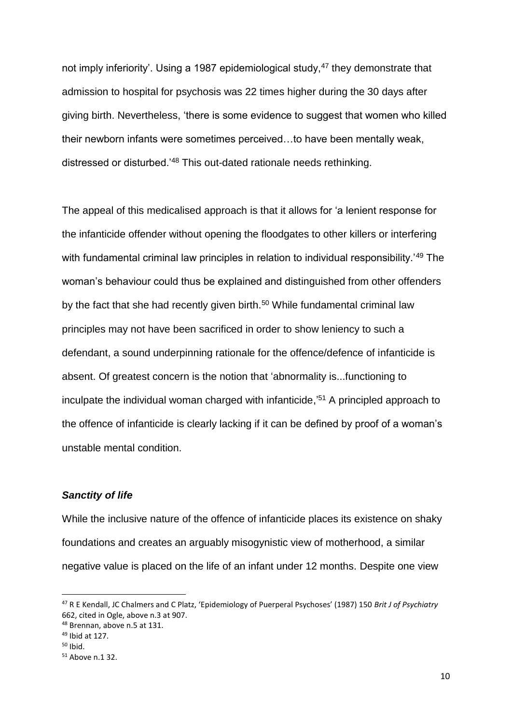not imply inferiority'. Using a 1987 epidemiological study,<sup>47</sup> they demonstrate that admission to hospital for psychosis was 22 times higher during the 30 days after giving birth. Nevertheless, 'there is some evidence to suggest that women who killed their newborn infants were sometimes perceived…to have been mentally weak, distressed or disturbed.'<sup>48</sup> This out-dated rationale needs rethinking.

The appeal of this medicalised approach is that it allows for 'a lenient response for the infanticide offender without opening the floodgates to other killers or interfering with fundamental criminal law principles in relation to individual responsibility.<sup>49</sup> The woman's behaviour could thus be explained and distinguished from other offenders by the fact that she had recently given birth.<sup>50</sup> While fundamental criminal law principles may not have been sacrificed in order to show leniency to such a defendant, a sound underpinning rationale for the offence/defence of infanticide is absent. Of greatest concern is the notion that 'abnormality is...functioning to inculpate the individual woman charged with infanticide,' <sup>51</sup> A principled approach to the offence of infanticide is clearly lacking if it can be defined by proof of a woman's unstable mental condition.

## *Sanctity of life*

While the inclusive nature of the offence of infanticide places its existence on shaky foundations and creates an arguably misogynistic view of motherhood, a similar negative value is placed on the life of an infant under 12 months. Despite one view

<sup>47</sup> R E Kendall, JC Chalmers and C Platz, 'Epidemiology of Puerperal Psychoses' (1987) 150 *Brit J of Psychiatry* 662, cited in Ogle, above n.3 at 907.

<sup>48</sup> Brennan, above n.5 at 131.

<sup>49</sup> Ibid at 127.

 $50$  Ibid.

<sup>51</sup> Above n.1 32.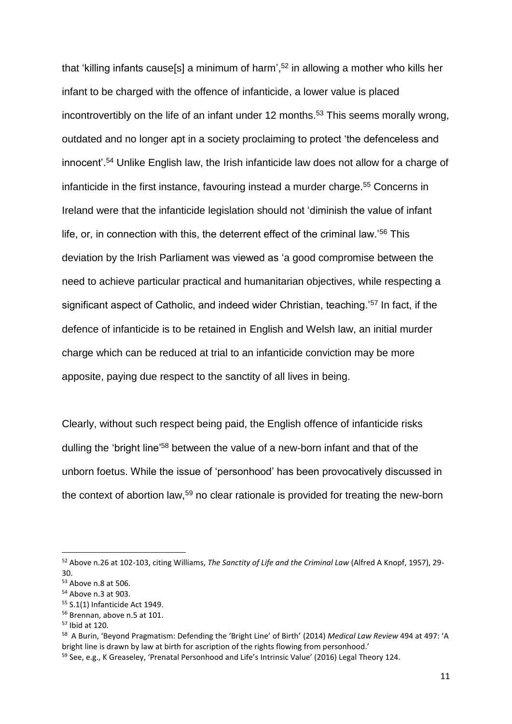that 'killing infants cause[s] a minimum of harm',<sup>52</sup> in allowing a mother who kills her infant to be charged with the offence of infanticide, a lower value is placed incontrovertibly on the life of an infant under 12 months. <sup>53</sup> This seems morally wrong, outdated and no longer apt in a society proclaiming to protect 'the defenceless and innocent'. <sup>54</sup> Unlike English law, the Irish infanticide law does not allow for a charge of infanticide in the first instance, favouring instead a murder charge. <sup>55</sup> Concerns in Ireland were that the infanticide legislation should not 'diminish the value of infant life, or, in connection with this, the deterrent effect of the criminal law.'<sup>56</sup> This deviation by the Irish Parliament was viewed as 'a good compromise between the need to achieve particular practical and humanitarian objectives, while respecting a significant aspect of Catholic, and indeed wider Christian, teaching.<sup>'57</sup> In fact, if the defence of infanticide is to be retained in English and Welsh law, an initial murder charge which can be reduced at trial to an infanticide conviction may be more apposite, paying due respect to the sanctity of all lives in being.

Clearly, without such respect being paid, the English offence of infanticide risks dulling the 'bright line'<sup>58</sup> between the value of a new-born infant and that of the unborn foetus. While the issue of 'personhood' has been provocatively discussed in the context of abortion law,<sup>59</sup> no clear rationale is provided for treating the new-born

<sup>52</sup> Above n.26 at 102-103, citing Williams, *The Sanctity of Life and the Criminal Law* (Alfred A Knopf, 1957), 29- 30.

<sup>53</sup> Above n.8 at 506.

<sup>54</sup> Above n.3 at 903.

<sup>55</sup> S.1(1) Infanticide Act 1949.

<sup>56</sup> Brennan, above n.5 at 101.

<sup>57</sup> Ibid at 120.

<sup>58</sup> A Burin, 'Beyond Pragmatism: Defending the 'Bright Line' of Birth' (2014) *Medical Law Review* 494 at 497: 'A bright line is drawn by law at birth for ascription of the rights flowing from personhood.'

<sup>&</sup>lt;sup>59</sup> See, e.g., K Greaseley, 'Prenatal Personhood and Life's Intrinsic Value' (2016) Legal Theory 124.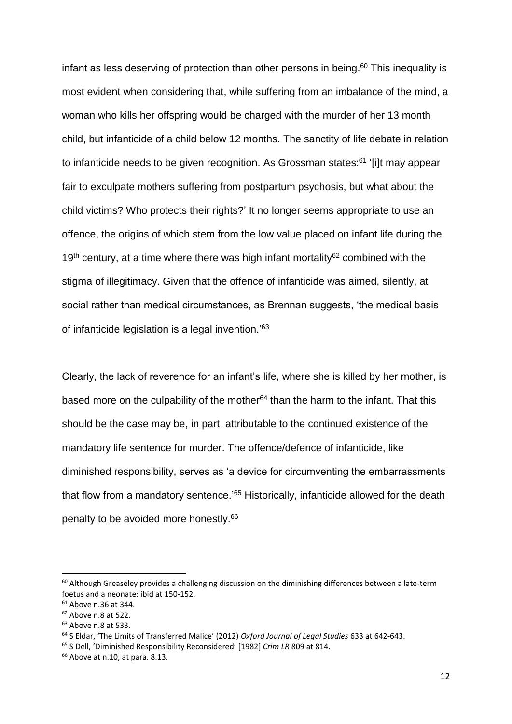infant as less deserving of protection than other persons in being. <sup>60</sup> This inequality is most evident when considering that, while suffering from an imbalance of the mind, a woman who kills her offspring would be charged with the murder of her 13 month child, but infanticide of a child below 12 months. The sanctity of life debate in relation to infanticide needs to be given recognition. As Grossman states:<sup>61</sup> '[i]t may appear fair to exculpate mothers suffering from postpartum psychosis, but what about the child victims? Who protects their rights?' It no longer seems appropriate to use an offence, the origins of which stem from the low value placed on infant life during the 19<sup>th</sup> century, at a time where there was high infant mortality<sup>62</sup> combined with the stigma of illegitimacy. Given that the offence of infanticide was aimed, silently, at social rather than medical circumstances, as Brennan suggests, 'the medical basis of infanticide legislation is a legal invention.'<sup>63</sup>

Clearly, the lack of reverence for an infant's life, where she is killed by her mother, is based more on the culpability of the mother $64$  than the harm to the infant. That this should be the case may be, in part, attributable to the continued existence of the mandatory life sentence for murder. The offence/defence of infanticide, like diminished responsibility, serves as 'a device for circumventing the embarrassments that flow from a mandatory sentence.<sup>'65</sup> Historically, infanticide allowed for the death penalty to be avoided more honestly. 66

 $60$  Although Greaseley provides a challenging discussion on the diminishing differences between a late-term foetus and a neonate: ibid at 150-152.

<sup>61</sup> Above n.36 at 344.

<sup>62</sup> Above n.8 at 522.

<sup>63</sup> Above n.8 at 533.

<sup>64</sup> S Eldar, 'The Limits of Transferred Malice' (2012) *Oxford Journal of Legal Studies* 633 at 642-643.

<sup>65</sup> S Dell, 'Diminished Responsibility Reconsidered' [1982] *Crim LR* 809 at 814.

 $66$  Above at n.10, at para, 8.13.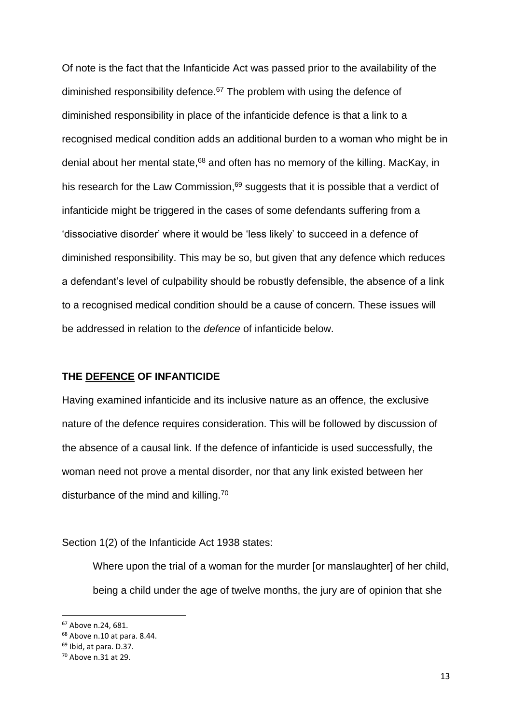Of note is the fact that the Infanticide Act was passed prior to the availability of the diminished responsibility defence. $67$  The problem with using the defence of diminished responsibility in place of the infanticide defence is that a link to a recognised medical condition adds an additional burden to a woman who might be in denial about her mental state, $68$  and often has no memory of the killing. MacKay, in his research for the Law Commission, $69$  suggests that it is possible that a verdict of infanticide might be triggered in the cases of some defendants suffering from a 'dissociative disorder' where it would be 'less likely' to succeed in a defence of diminished responsibility. This may be so, but given that any defence which reduces a defendant's level of culpability should be robustly defensible, the absence of a link to a recognised medical condition should be a cause of concern. These issues will be addressed in relation to the *defence* of infanticide below.

## **THE DEFENCE OF INFANTICIDE**

Having examined infanticide and its inclusive nature as an offence, the exclusive nature of the defence requires consideration. This will be followed by discussion of the absence of a causal link. If the defence of infanticide is used successfully, the woman need not prove a mental disorder, nor that any link existed between her disturbance of the mind and killing.<sup>70</sup>

Section 1(2) of the Infanticide Act 1938 states:

Where upon the trial of a woman for the murder [or manslaughter] of her child, being a child under the age of twelve months, the jury are of opinion that she

<sup>67</sup> Above n.24, 681.

<sup>68</sup> Above n.10 at para. 8.44.

 $69$  Ibid, at para. D.37.

<sup>70</sup> Above n.31 at 29.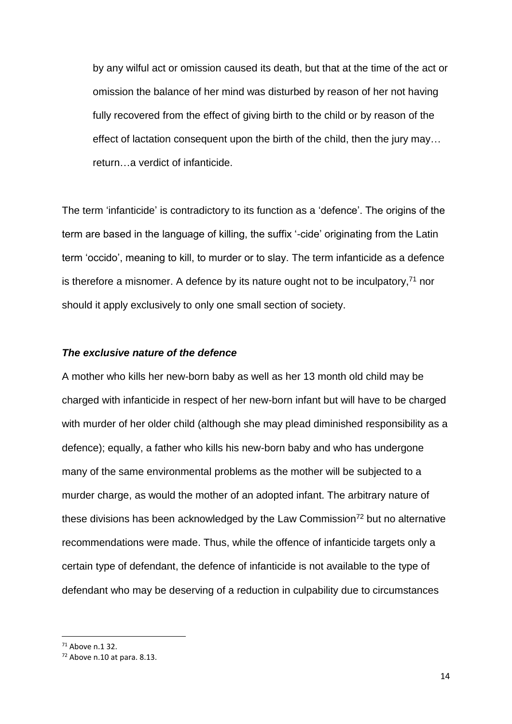by any wilful act or omission caused its death, but that at the time of the act or omission the balance of her mind was disturbed by reason of her not having fully recovered from the effect of giving birth to the child or by reason of the effect of lactation consequent upon the birth of the child, then the jury may… return…a verdict of infanticide.

The term 'infanticide' is contradictory to its function as a 'defence'. The origins of the term are based in the language of killing, the suffix '-cide' originating from the Latin term 'occido', meaning to kill, to murder or to slay. The term infanticide as a defence is therefore a misnomer. A defence by its nature ought not to be inculpatory, $71$  nor should it apply exclusively to only one small section of society.

## *The exclusive nature of the defence*

A mother who kills her new-born baby as well as her 13 month old child may be charged with infanticide in respect of her new-born infant but will have to be charged with murder of her older child (although she may plead diminished responsibility as a defence); equally, a father who kills his new-born baby and who has undergone many of the same environmental problems as the mother will be subjected to a murder charge, as would the mother of an adopted infant. The arbitrary nature of these divisions has been acknowledged by the Law Commission<sup>72</sup> but no alternative recommendations were made. Thus, while the offence of infanticide targets only a certain type of defendant, the defence of infanticide is not available to the type of defendant who may be deserving of a reduction in culpability due to circumstances

 $71$  Above n.1 32.

<sup>72</sup> Above n.10 at para. 8.13.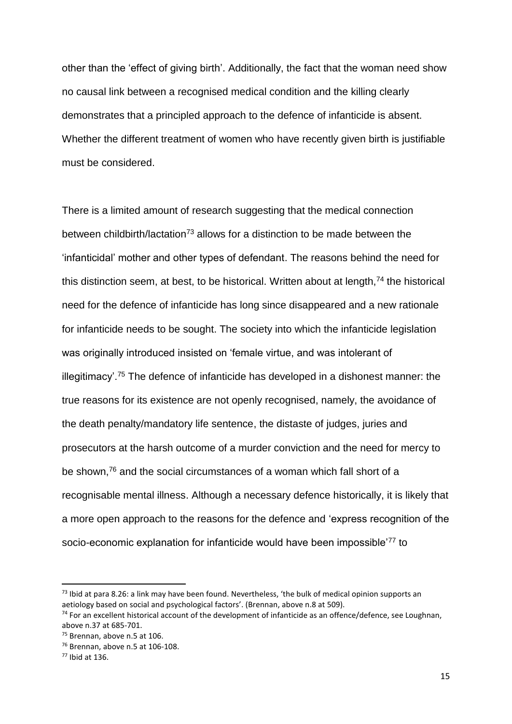other than the 'effect of giving birth'. Additionally, the fact that the woman need show no causal link between a recognised medical condition and the killing clearly demonstrates that a principled approach to the defence of infanticide is absent. Whether the different treatment of women who have recently given birth is justifiable must be considered.

There is a limited amount of research suggesting that the medical connection between childbirth/lactation<sup>73</sup> allows for a distinction to be made between the 'infanticidal' mother and other types of defendant. The reasons behind the need for this distinction seem, at best, to be historical. Written about at length, $74$  the historical need for the defence of infanticide has long since disappeared and a new rationale for infanticide needs to be sought. The society into which the infanticide legislation was originally introduced insisted on 'female virtue, and was intolerant of illegitimacy'.<sup>75</sup> The defence of infanticide has developed in a dishonest manner: the true reasons for its existence are not openly recognised, namely, the avoidance of the death penalty/mandatory life sentence, the distaste of judges, juries and prosecutors at the harsh outcome of a murder conviction and the need for mercy to be shown,<sup>76</sup> and the social circumstances of a woman which fall short of a recognisable mental illness. Although a necessary defence historically, it is likely that a more open approach to the reasons for the defence and 'express recognition of the socio-economic explanation for infanticide would have been impossible<sup>'77</sup> to

 $<sup>73</sup>$  Ibid at para 8.26: a link may have been found. Nevertheless, 'the bulk of medical opinion supports an</sup> aetiology based on social and psychological factors'. (Brennan, above n.8 at 509).

 $74$  For an excellent historical account of the development of infanticide as an offence/defence, see Loughnan, above n.37 at 685-701.

<sup>75</sup> Brennan, above n.5 at 106.

<sup>76</sup> Brennan, above n.5 at 106-108.

<sup>77</sup> Ibid at 136.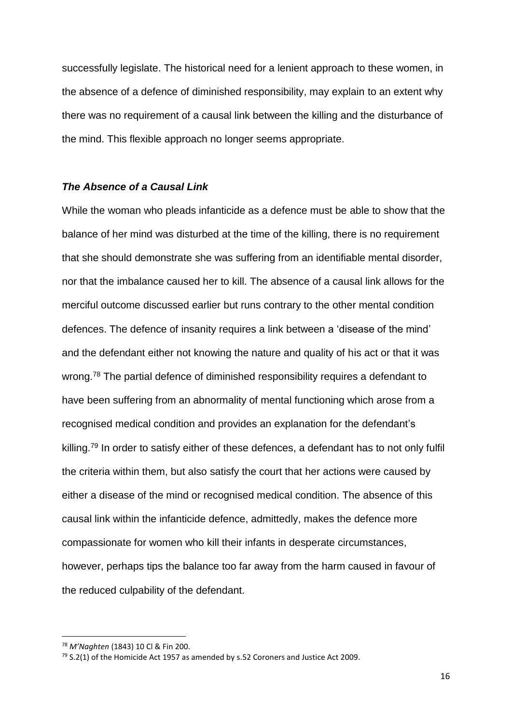successfully legislate. The historical need for a lenient approach to these women, in the absence of a defence of diminished responsibility, may explain to an extent why there was no requirement of a causal link between the killing and the disturbance of the mind. This flexible approach no longer seems appropriate.

## *The Absence of a Causal Link*

While the woman who pleads infanticide as a defence must be able to show that the balance of her mind was disturbed at the time of the killing, there is no requirement that she should demonstrate she was suffering from an identifiable mental disorder, nor that the imbalance caused her to kill. The absence of a causal link allows for the merciful outcome discussed earlier but runs contrary to the other mental condition defences. The defence of insanity requires a link between a 'disease of the mind' and the defendant either not knowing the nature and quality of his act or that it was wrong.<sup>78</sup> The partial defence of diminished responsibility requires a defendant to have been suffering from an abnormality of mental functioning which arose from a recognised medical condition and provides an explanation for the defendant's killing.<sup>79</sup> In order to satisfy either of these defences, a defendant has to not only fulfil the criteria within them, but also satisfy the court that her actions were caused by either a disease of the mind or recognised medical condition. The absence of this causal link within the infanticide defence, admittedly, makes the defence more compassionate for women who kill their infants in desperate circumstances, however, perhaps tips the balance too far away from the harm caused in favour of the reduced culpability of the defendant.

<sup>78</sup> *M'Naghten* (1843) 10 Cl & Fin 200.

 $79$  S.2(1) of the Homicide Act 1957 as amended by s.52 Coroners and Justice Act 2009.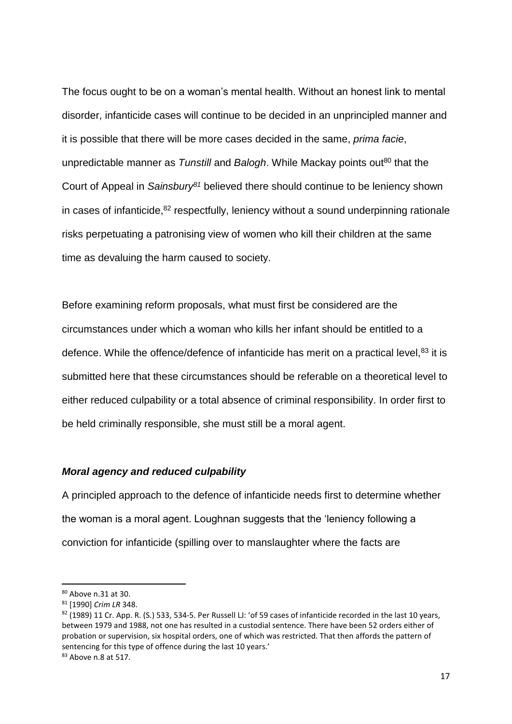The focus ought to be on a woman's mental health. Without an honest link to mental disorder, infanticide cases will continue to be decided in an unprincipled manner and it is possible that there will be more cases decided in the same, *prima facie*, unpredictable manner as *Tunstill* and *Balogh*. While Mackay points out<sup>80</sup> that the Court of Appeal in *Sainsbury<sup>81</sup>* believed there should continue to be leniency shown in cases of infanticide, $82$  respectfully, leniency without a sound underpinning rationale risks perpetuating a patronising view of women who kill their children at the same time as devaluing the harm caused to society.

Before examining reform proposals, what must first be considered are the circumstances under which a woman who kills her infant should be entitled to a defence. While the offence/defence of infanticide has merit on a practical level,<sup>83</sup> it is submitted here that these circumstances should be referable on a theoretical level to either reduced culpability or a total absence of criminal responsibility. In order first to be held criminally responsible, she must still be a moral agent.

#### *Moral agency and reduced culpability*

A principled approach to the defence of infanticide needs first to determine whether the woman is a moral agent. Loughnan suggests that the 'leniency following a conviction for infanticide (spilling over to manslaughter where the facts are

<sup>80</sup> Above n.31 at 30.

<sup>81</sup> [1990] *Crim LR* 348.

<sup>82 (1989) 11</sup> Cr. App. R. (S.) 533, 534-5. Per Russell LJ: 'of 59 cases of infanticide recorded in the last 10 years, between 1979 and 1988, not one has resulted in a custodial sentence. There have been 52 orders either of probation or supervision, six hospital orders, one of which was restricted. That then affords the pattern of sentencing for this type of offence during the last 10 years.'

<sup>83</sup> Above n.8 at 517.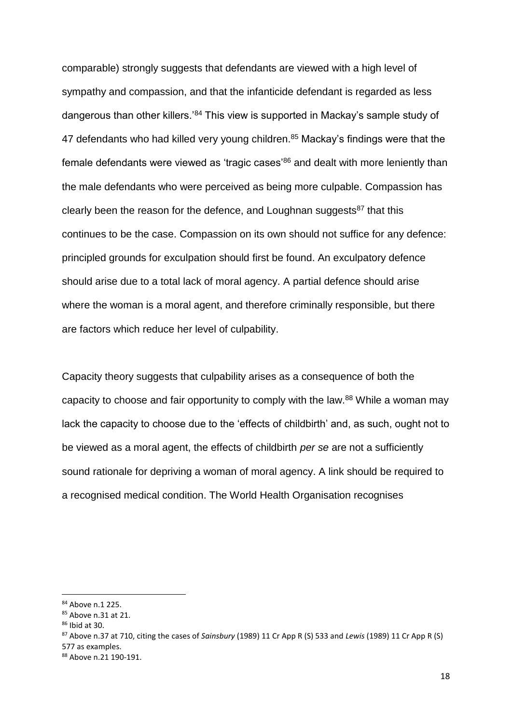comparable) strongly suggests that defendants are viewed with a high level of sympathy and compassion, and that the infanticide defendant is regarded as less dangerous than other killers.'<sup>84</sup> This view is supported in Mackay's sample study of 47 defendants who had killed very young children.<sup>85</sup> Mackay's findings were that the female defendants were viewed as 'tragic cases'<sup>86</sup> and dealt with more leniently than the male defendants who were perceived as being more culpable. Compassion has clearly been the reason for the defence, and Loughnan suggests $87$  that this continues to be the case. Compassion on its own should not suffice for any defence: principled grounds for exculpation should first be found. An exculpatory defence should arise due to a total lack of moral agency. A partial defence should arise where the woman is a moral agent, and therefore criminally responsible, but there are factors which reduce her level of culpability.

Capacity theory suggests that culpability arises as a consequence of both the capacity to choose and fair opportunity to comply with the law.<sup>88</sup> While a woman may lack the capacity to choose due to the 'effects of childbirth' and, as such, ought not to be viewed as a moral agent, the effects of childbirth *per se* are not a sufficiently sound rationale for depriving a woman of moral agency. A link should be required to a recognised medical condition. The World Health Organisation recognises

<sup>84</sup> Above n.1 225.

<sup>85</sup> Above n.31 at 21.

<sup>86</sup> Ibid at 30.

<sup>87</sup> Above n.37 at 710, citing the cases of *Sainsbury* (1989) 11 Cr App R (S) 533 and *Lewis* (1989) 11 Cr App R (S) 577 as examples.

<sup>88</sup> Above n.21 190-191.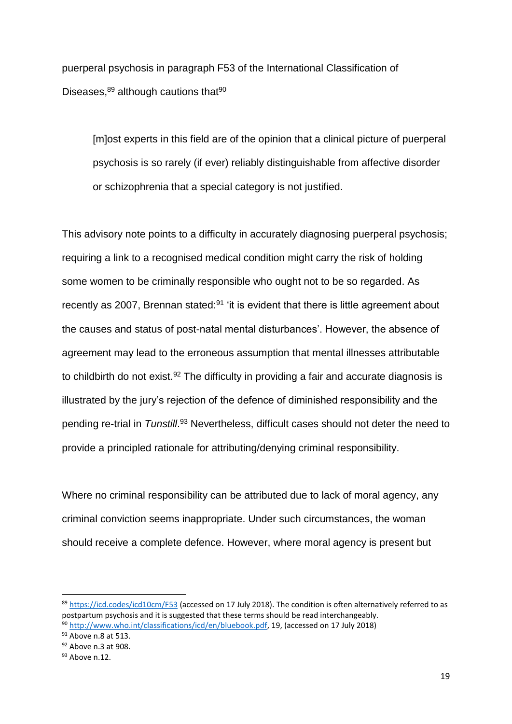puerperal psychosis in paragraph F53 of the International Classification of Diseases. $89$  although cautions that  $90$ 

[m]ost experts in this field are of the opinion that a clinical picture of puerperal psychosis is so rarely (if ever) reliably distinguishable from affective disorder or schizophrenia that a special category is not justified.

This advisory note points to a difficulty in accurately diagnosing puerperal psychosis; requiring a link to a recognised medical condition might carry the risk of holding some women to be criminally responsible who ought not to be so regarded. As recently as 2007, Brennan stated:<sup>91</sup> 'it is evident that there is little agreement about the causes and status of post-natal mental disturbances'. However, the absence of agreement may lead to the erroneous assumption that mental illnesses attributable to childbirth do not exist.<sup>92</sup> The difficulty in providing a fair and accurate diagnosis is illustrated by the jury's rejection of the defence of diminished responsibility and the pending re-trial in Tunstill.<sup>93</sup> Nevertheless, difficult cases should not deter the need to provide a principled rationale for attributing/denying criminal responsibility.

Where no criminal responsibility can be attributed due to lack of moral agency, any criminal conviction seems inappropriate. Under such circumstances, the woman should receive a complete defence. However, where moral agency is present but

<sup>91</sup> Above n.8 at 513.

<sup>89</sup> <https://icd.codes/icd10cm/F53> (accessed on 17 July 2018). The condition is often alternatively referred to as postpartum psychosis and it is suggested that these terms should be read interchangeably. <sup>90</sup> [http://www.who.int/classifications/icd/en/bluebook.pdf,](http://www.who.int/classifications/icd/en/bluebook.pdf) 19, (accessed on 17 July 2018)

<sup>92</sup> Above n.3 at 908.

<sup>93</sup> Above n.12.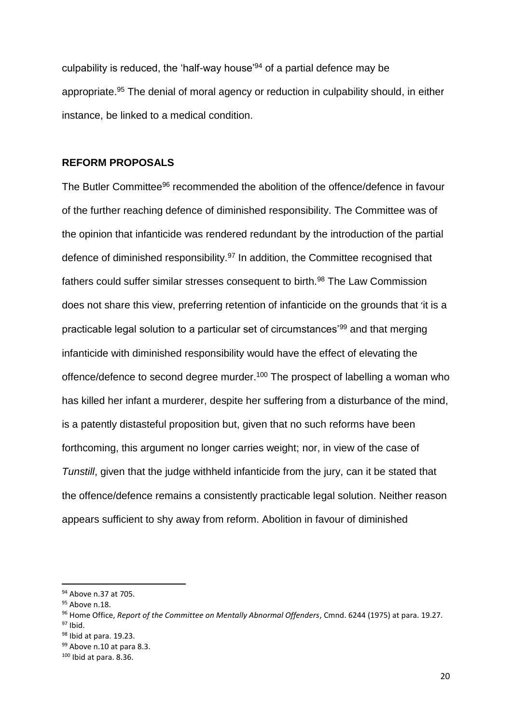culpability is reduced, the 'half-way house'<sup>94</sup> of a partial defence may be appropriate.<sup>95</sup> The denial of moral agency or reduction in culpability should, in either instance, be linked to a medical condition.

#### **REFORM PROPOSALS**

The Butler Committee<sup>96</sup> recommended the abolition of the offence/defence in favour of the further reaching defence of diminished responsibility. The Committee was of the opinion that infanticide was rendered redundant by the introduction of the partial defence of diminished responsibility.<sup>97</sup> In addition, the Committee recognised that fathers could suffer similar stresses consequent to birth.<sup>98</sup> The Law Commission does not share this view, preferring retention of infanticide on the grounds that 'it is a practicable legal solution to a particular set of circumstances'<sup>99</sup> and that merging infanticide with diminished responsibility would have the effect of elevating the offence/defence to second degree murder.<sup>100</sup> The prospect of labelling a woman who has killed her infant a murderer, despite her suffering from a disturbance of the mind, is a patently distasteful proposition but, given that no such reforms have been forthcoming, this argument no longer carries weight; nor, in view of the case of *Tunstill*, given that the judge withheld infanticide from the jury, can it be stated that the offence/defence remains a consistently practicable legal solution. Neither reason appears sufficient to shy away from reform. Abolition in favour of diminished

<sup>94</sup> Above n.37 at 705.

<sup>95</sup> Above n.18.

<sup>96</sup> Home Office, *Report of the Committee on Mentally Abnormal Offenders*, Cmnd. 6244 (1975) at para. 19.27.  $97$  Ibid.

<sup>98</sup> Ibid at para. 19.23.

<sup>99</sup> Above n.10 at para 8.3.

 $100$  Ibid at para. 8.36.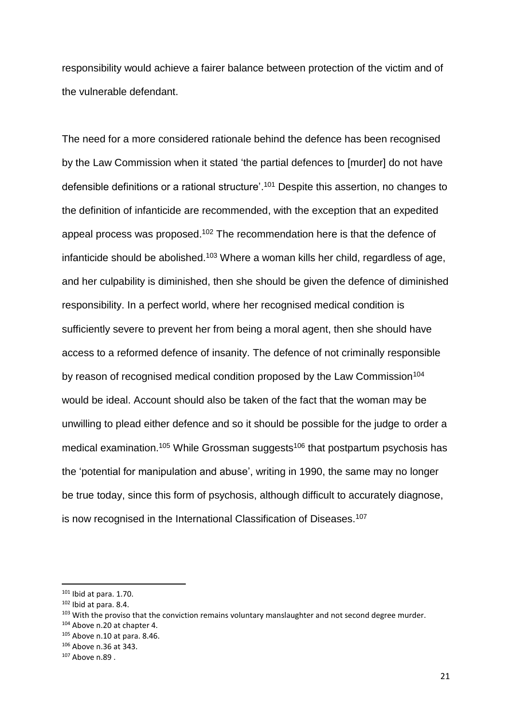responsibility would achieve a fairer balance between protection of the victim and of the vulnerable defendant.

The need for a more considered rationale behind the defence has been recognised by the Law Commission when it stated 'the partial defences to [murder] do not have defensible definitions or a rational structure'. <sup>101</sup> Despite this assertion, no changes to the definition of infanticide are recommended, with the exception that an expedited appeal process was proposed.<sup>102</sup> The recommendation here is that the defence of infanticide should be abolished.<sup>103</sup> Where a woman kills her child, regardless of age, and her culpability is diminished, then she should be given the defence of diminished responsibility. In a perfect world, where her recognised medical condition is sufficiently severe to prevent her from being a moral agent, then she should have access to a reformed defence of insanity. The defence of not criminally responsible by reason of recognised medical condition proposed by the Law Commission<sup>104</sup> would be ideal. Account should also be taken of the fact that the woman may be unwilling to plead either defence and so it should be possible for the judge to order a medical examination.<sup>105</sup> While Grossman suggests<sup>106</sup> that postpartum psychosis has the 'potential for manipulation and abuse', writing in 1990, the same may no longer be true today, since this form of psychosis, although difficult to accurately diagnose, is now recognised in the International Classification of Diseases.<sup>107</sup>

 $101$  Ibid at para. 1.70.

<sup>102</sup> Ibid at para. 8.4.

<sup>&</sup>lt;sup>103</sup> With the proviso that the conviction remains voluntary manslaughter and not second degree murder.

<sup>104</sup> Above n.20 at chapter 4.

<sup>105</sup> Above n.10 at para. 8.46.

<sup>106</sup> Above n.36 at 343.

<sup>107</sup> Above n.89 .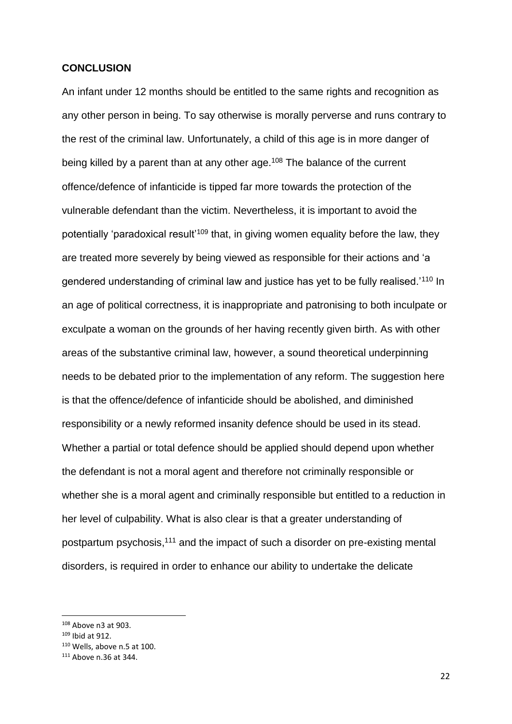#### **CONCLUSION**

An infant under 12 months should be entitled to the same rights and recognition as any other person in being. To say otherwise is morally perverse and runs contrary to the rest of the criminal law. Unfortunately, a child of this age is in more danger of being killed by a parent than at any other age.<sup>108</sup> The balance of the current offence/defence of infanticide is tipped far more towards the protection of the vulnerable defendant than the victim. Nevertheless, it is important to avoid the potentially 'paradoxical result'<sup>109</sup> that, in giving women equality before the law, they are treated more severely by being viewed as responsible for their actions and 'a gendered understanding of criminal law and justice has yet to be fully realised.'<sup>110</sup> In an age of political correctness, it is inappropriate and patronising to both inculpate or exculpate a woman on the grounds of her having recently given birth. As with other areas of the substantive criminal law, however, a sound theoretical underpinning needs to be debated prior to the implementation of any reform. The suggestion here is that the offence/defence of infanticide should be abolished, and diminished responsibility or a newly reformed insanity defence should be used in its stead. Whether a partial or total defence should be applied should depend upon whether the defendant is not a moral agent and therefore not criminally responsible or whether she is a moral agent and criminally responsible but entitled to a reduction in her level of culpability. What is also clear is that a greater understanding of postpartum psychosis,<sup>111</sup> and the impact of such a disorder on pre-existing mental disorders, is required in order to enhance our ability to undertake the delicate

<sup>108</sup> Above n3 at 903.

<sup>109</sup> Ibid at 912.

 $110$  Wells, above n.5 at 100.

<sup>111</sup> Above n.36 at 344.